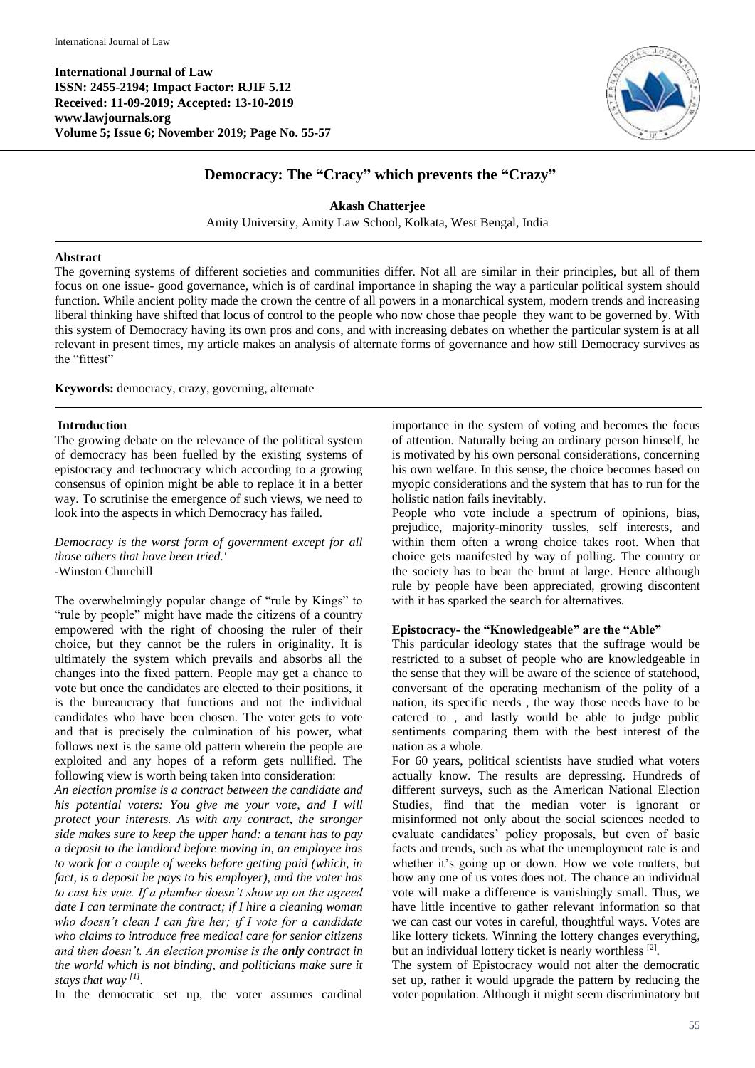**International Journal of Law ISSN: 2455-2194; Impact Factor: RJIF 5.12 Received: 11-09-2019; Accepted: 13-10-2019 www.lawjournals.org Volume 5; Issue 6; November 2019; Page No. 55-57**



# **Democracy: The "Cracy" which prevents the "Crazy"**

**Akash Chatterjee**

Amity University, Amity Law School, Kolkata, West Bengal, India

#### **Abstract**

The governing systems of different societies and communities differ. Not all are similar in their principles, but all of them focus on one issue- good governance, which is of cardinal importance in shaping the way a particular political system should function. While ancient polity made the crown the centre of all powers in a monarchical system, modern trends and increasing liberal thinking have shifted that locus of control to the people who now chose thae people they want to be governed by. With this system of Democracy having its own pros and cons, and with increasing debates on whether the particular system is at all relevant in present times, my article makes an analysis of alternate forms of governance and how still Democracy survives as the "fittest"

**Keywords:** democracy, crazy, governing, alternate

#### **Introduction**

The growing debate on the relevance of the political system of democracy has been fuelled by the existing systems of epistocracy and technocracy which according to a growing consensus of opinion might be able to replace it in a better way. To scrutinise the emergence of such views, we need to look into the aspects in which Democracy has failed.

*Democracy is the worst form of government except for all those others that have been tried.'* -Winston Churchill

The overwhelmingly popular change of "rule by Kings" to "rule by people" might have made the citizens of a country empowered with the right of choosing the ruler of their choice, but they cannot be the rulers in originality. It is ultimately the system which prevails and absorbs all the changes into the fixed pattern. People may get a chance to vote but once the candidates are elected to their positions, it is the bureaucracy that functions and not the individual candidates who have been chosen. The voter gets to vote and that is precisely the culmination of his power, what follows next is the same old pattern wherein the people are exploited and any hopes of a reform gets nullified. The following view is worth being taken into consideration:

*An election promise is a contract between the candidate and his potential voters: You give me your vote, and I will protect your interests. As with any contract, the stronger side makes sure to keep the upper hand: a tenant has to pay a deposit to the landlord before moving in, an employee has to work for a couple of weeks before getting paid (which, in fact, is a deposit he pays to his employer), and the voter has to cast his vote. If a plumber doesn't show up on the agreed date I can terminate the contract; if I hire a cleaning woman who doesn't clean I can fire her; if I vote for a candidate who claims to introduce free medical care for senior citizens and then doesn't. An election promise is the only contract in the world which is not binding, and politicians make sure it stays that way [1] .*

In the democratic set up, the voter assumes cardinal

importance in the system of voting and becomes the focus of attention. Naturally being an ordinary person himself, he is motivated by his own personal considerations, concerning his own welfare. In this sense, the choice becomes based on myopic considerations and the system that has to run for the holistic nation fails inevitably.

People who vote include a spectrum of opinions, bias, prejudice, majority-minority tussles, self interests, and within them often a wrong choice takes root. When that choice gets manifested by way of polling. The country or the society has to bear the brunt at large. Hence although rule by people have been appreciated, growing discontent with it has sparked the search for alternatives.

#### **Epistocracy- the "Knowledgeable" are the "Able"**

This particular ideology states that the suffrage would be restricted to a subset of people who are knowledgeable in the sense that they will be aware of the science of statehood, conversant of the operating mechanism of the polity of a nation, its specific needs , the way those needs have to be catered to , and lastly would be able to judge public sentiments comparing them with the best interest of the nation as a whole.

For 60 years, political scientists have studied what voters actually know. The results are depressing. Hundreds of different surveys, such as the American National Election Studies, find that the median voter is ignorant or misinformed not only about the social sciences needed to evaluate candidates' policy proposals, but even of basic facts and trends, such as what the unemployment rate is and whether it's going up or down. How we vote matters, but how any one of us votes does not. The chance an individual vote will make a difference is vanishingly small. Thus, we have little incentive to gather relevant information so that we can cast our votes in careful, thoughtful ways. Votes are like lottery tickets. Winning the lottery changes everything, but an individual lottery ticket is nearly worthless [2].

The system of Epistocracy would not alter the democratic set up, rather it would upgrade the pattern by reducing the voter population. Although it might seem discriminatory but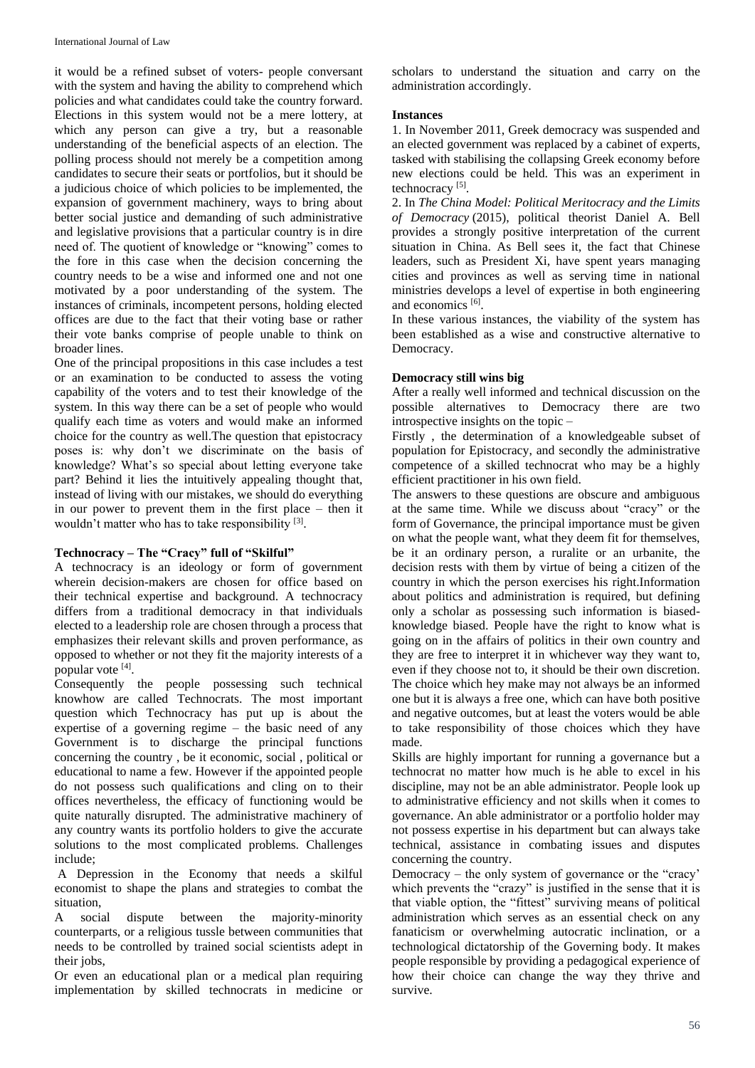it would be a refined subset of voters- people conversant with the system and having the ability to comprehend which policies and what candidates could take the country forward. Elections in this system would not be a mere lottery, at which any person can give a try, but a reasonable understanding of the beneficial aspects of an election. The polling process should not merely be a competition among candidates to secure their seats or portfolios, but it should be a judicious choice of which policies to be implemented, the expansion of government machinery, ways to bring about better social justice and demanding of such administrative and legislative provisions that a particular country is in dire need of. The quotient of knowledge or "knowing" comes to the fore in this case when the decision concerning the country needs to be a wise and informed one and not one motivated by a poor understanding of the system. The instances of criminals, incompetent persons, holding elected offices are due to the fact that their voting base or rather their vote banks comprise of people unable to think on broader lines.

One of the principal propositions in this case includes a test or an examination to be conducted to assess the voting capability of the voters and to test their knowledge of the system. In this way there can be a set of people who would qualify each time as voters and would make an informed choice for the country as well.The question that epistocracy poses is: why don't we discriminate on the basis of knowledge? What's so special about letting everyone take part? Behind it lies the intuitively appealing thought that, instead of living with our mistakes, we should do everything in our power to prevent them in the first place – then it wouldn't matter who has to take responsibility [3].

#### **Technocracy – The "Cracy" full of "Skilful"**

A technocracy is an ideology or form of government wherein decision-makers are chosen for office based on their technical expertise and background. A technocracy differs from a traditional democracy in that individuals elected to a leadership role are chosen through a process that emphasizes their relevant skills and proven performance, as opposed to whether or not they fit the majority interests of a popular vote [4] .

Consequently the people possessing such technical knowhow are called Technocrats. The most important question which Technocracy has put up is about the expertise of a governing regime  $-$  the basic need of any Government is to discharge the principal functions concerning the country , be it economic, social , political or educational to name a few. However if the appointed people do not possess such qualifications and cling on to their offices nevertheless, the efficacy of functioning would be quite naturally disrupted. The administrative machinery of any country wants its portfolio holders to give the accurate solutions to the most complicated problems. Challenges include;

A Depression in the Economy that needs a skilful economist to shape the plans and strategies to combat the situation,

A social dispute between the majority-minority counterparts, or a religious tussle between communities that needs to be controlled by trained social scientists adept in their jobs,

Or even an educational plan or a medical plan requiring implementation by skilled technocrats in medicine or scholars to understand the situation and carry on the administration accordingly.

### **Instances**

1. In November 2011, Greek democracy was suspended and an elected government was replaced by a cabinet of experts, tasked with stabilising the collapsing Greek economy before new elections could be held. This was an experiment in technocracy<sup>[5]</sup>.

2. In *The China Model: Political Meritocracy and the Limits of Democracy* (2015), political theorist Daniel A. Bell provides a strongly positive interpretation of the current situation in China. As Bell sees it, the fact that Chinese leaders, such as President Xi, have spent years managing cities and provinces as well as serving time in national ministries develops a level of expertise in both engineering and economics [6].

In these various instances, the viability of the system has been established as a wise and constructive alternative to Democracy.

## **Democracy still wins big**

After a really well informed and technical discussion on the possible alternatives to Democracy there are two introspective insights on the topic –

Firstly , the determination of a knowledgeable subset of population for Epistocracy, and secondly the administrative competence of a skilled technocrat who may be a highly efficient practitioner in his own field.

The answers to these questions are obscure and ambiguous at the same time. While we discuss about "cracy" or the form of Governance, the principal importance must be given on what the people want, what they deem fit for themselves, be it an ordinary person, a ruralite or an urbanite, the decision rests with them by virtue of being a citizen of the country in which the person exercises his right.Information about politics and administration is required, but defining only a scholar as possessing such information is biasedknowledge biased. People have the right to know what is going on in the affairs of politics in their own country and they are free to interpret it in whichever way they want to, even if they choose not to, it should be their own discretion. The choice which hey make may not always be an informed one but it is always a free one, which can have both positive and negative outcomes, but at least the voters would be able to take responsibility of those choices which they have made.

Skills are highly important for running a governance but a technocrat no matter how much is he able to excel in his discipline, may not be an able administrator. People look up to administrative efficiency and not skills when it comes to governance. An able administrator or a portfolio holder may not possess expertise in his department but can always take technical, assistance in combating issues and disputes concerning the country.

Democracy – the only system of governance or the "cracy' which prevents the "crazy" is justified in the sense that it is that viable option, the "fittest" surviving means of political administration which serves as an essential check on any fanaticism or overwhelming autocratic inclination, or a technological dictatorship of the Governing body. It makes people responsible by providing a pedagogical experience of how their choice can change the way they thrive and survive.